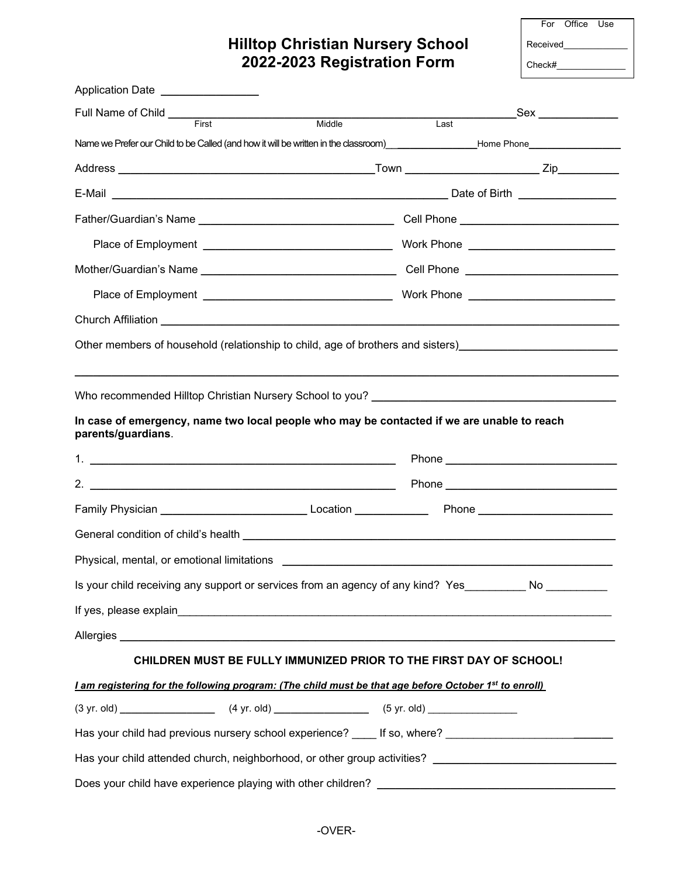## **Hilltop Christian Nursery School 2022-2023 Registration Form**

|          | For Office Use |  |  |  |  |
|----------|----------------|--|--|--|--|
| Received |                |  |  |  |  |
| Check#   |                |  |  |  |  |

| Application Date ________________                                                                                                                                                                     |        |      |                                            |
|-------------------------------------------------------------------------------------------------------------------------------------------------------------------------------------------------------|--------|------|--------------------------------------------|
| First                                                                                                                                                                                                 | Middle | Last | _Sex ______________                        |
| Name we Prefer our Child to be Called (and how it will be written in the classroom)<br>and also complex and the classroom behavior Home Phone Phone Phone Phone Phone Phone Phone Phone Phone Phone P |        |      |                                            |
|                                                                                                                                                                                                       |        |      |                                            |
|                                                                                                                                                                                                       |        |      |                                            |
|                                                                                                                                                                                                       |        |      |                                            |
|                                                                                                                                                                                                       |        |      |                                            |
|                                                                                                                                                                                                       |        |      |                                            |
|                                                                                                                                                                                                       |        |      | Work Phone _______________________________ |
|                                                                                                                                                                                                       |        |      |                                            |
|                                                                                                                                                                                                       |        |      |                                            |
|                                                                                                                                                                                                       |        |      |                                            |
| Who recommended Hilltop Christian Nursery School to you? _______________________                                                                                                                      |        |      |                                            |
| In case of emergency, name two local people who may be contacted if we are unable to reach                                                                                                            |        |      |                                            |
| parents/guardians.                                                                                                                                                                                    |        |      |                                            |
|                                                                                                                                                                                                       |        |      |                                            |
|                                                                                                                                                                                                       |        |      |                                            |
|                                                                                                                                                                                                       |        |      |                                            |
|                                                                                                                                                                                                       |        |      |                                            |
|                                                                                                                                                                                                       |        |      |                                            |
| Is your child receiving any support or services from an agency of any kind? Yes No                                                                                                                    |        |      |                                            |
|                                                                                                                                                                                                       |        |      |                                            |
|                                                                                                                                                                                                       |        |      |                                            |
| CHILDREN MUST BE FULLY IMMUNIZED PRIOR TO THE FIRST DAY OF SCHOOL!                                                                                                                                    |        |      |                                            |
| I am registering for the following program: (The child must be that age before October 1st to enroll)                                                                                                 |        |      |                                            |
| $(3 \text{ yr. old})$ (3 yr. old) $(4 \text{ yr. old})$ (5 yr. old) (5 yr. old)                                                                                                                       |        |      |                                            |
| Has your child had previous nursery school experience? ____ If so, where? ________________________________                                                                                            |        |      |                                            |
|                                                                                                                                                                                                       |        |      |                                            |
|                                                                                                                                                                                                       |        |      |                                            |